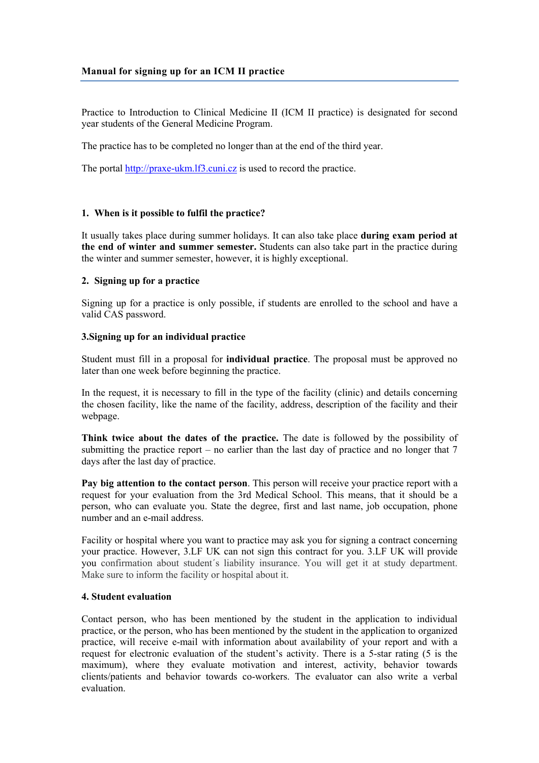Practice to Introduction to Clinical Medicine II (ICM II practice) is designated for second year students of the General Medicine Program.

The practice has to be completed no longer than at the end of the third year.

The portal [http://praxe-ukm.lf3.cuni.cz](http://praxe-ukm.lf3.cuni.cz/) is used to record the practice.

## **1. When is it possible to fulfil the practice?**

It usually takes place during summer holidays. It can also take place **during exam period at the end of winter and summer semester.** Students can also take part in the practice during the winter and summer semester, however, it is highly exceptional.

#### **2. Signing up for a practice**

Signing up for a practice is only possible, if students are enrolled to the school and have a valid CAS password.

#### **3.Signing up for an individual practice**

Student must fill in a proposal for **individual practice**. The proposal must be approved no later than one week before beginning the practice.

In the request, it is necessary to fill in the type of the facility (clinic) and details concerning the chosen facility, like the name of the facility, address, description of the facility and their webpage.

**Think twice about the dates of the practice.** The date is followed by the possibility of submitting the practice report – no earlier than the last day of practice and no longer that  $7$ days after the last day of practice.

**Pay big attention to the contact person**. This person will receive your practice report with a request for your evaluation from the 3rd Medical School. This means, that it should be a person, who can evaluate you. State the degree, first and last name, job occupation, phone number and an e-mail address.

Facility or hospital where you want to practice may ask you for signing a contract concerning your practice. However, 3.LF UK can not sign this contract for you. 3.LF UK will provide you confirmation about student´s liability insurance. You will get it at study department. Make sure to inform the facility or hospital about it.

## **4. Student evaluation**

Contact person, who has been mentioned by the student in the application to individual practice, or the person, who has been mentioned by the student in the application to organized practice, will receive e-mail with information about availability of your report and with a request for electronic evaluation of the student's activity. There is a 5-star rating (5 is the maximum), where they evaluate motivation and interest, activity, behavior towards clients/patients and behavior towards co-workers. The evaluator can also write a verbal evaluation.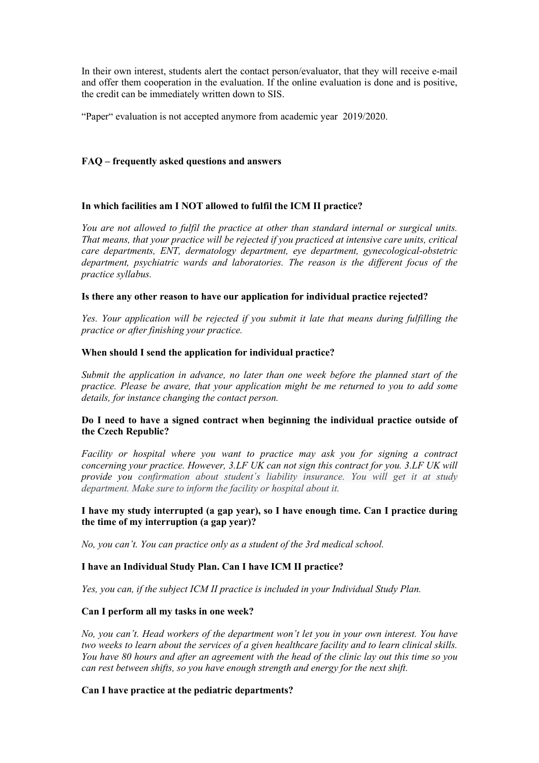In their own interest, students alert the contact person/evaluator, that they will receive e-mail and offer them cooperation in the evaluation. If the online evaluation is done and is positive, the credit can be immediately written down to SIS.

"Paper" evaluation is not accepted anymore from academic year 2019/2020.

## **FAQ – frequently asked questions and answers**

# **In which facilities am I NOT allowed to fulfil the ICM II practice?**

*You are not allowed to fulfil the practice at other than standard internal or surgical units. That means, that your practice will be rejected if you practiced at intensive care units, critical care departments, ENT, dermatology department, eye department, gynecological-obstetric department, psychiatric wards and laboratories. The reason is the different focus of the practice syllabus.* 

## **Is there any other reason to have our application for individual practice rejected?**

*Yes. Your application will be rejected if you submit it late that means during fulfilling the practice or after finishing your practice.* 

## **When should I send the application for individual practice?**

*Submit the application in advance, no later than one week before the planned start of the practice. Please be aware, that your application might be me returned to you to add some details, for instance changing the contact person.*

# **Do I need to have a signed contract when beginning the individual practice outside of the Czech Republic?**

*Facility or hospital where you want to practice may ask you for signing a contract concerning your practice. However, 3.LF UK can not sign this contract for you. 3.LF UK will provide you confirmation about student´s liability insurance. You will get it at study department. Make sure to inform the facility or hospital about it.*

# **I have my study interrupted (a gap year), so I have enough time. Can I practice during the time of my interruption (a gap year)?**

*No, you can't. You can practice only as a student of the 3rd medical school.*

## **I have an Individual Study Plan. Can I have ICM II practice?**

*Yes, you can, if the subject ICM II practice is included in your Individual Study Plan.*

## **Can I perform all my tasks in one week?**

*No, you can't. Head workers of the department won't let you in your own interest. You have two weeks to learn about the services of a given healthcare facility and to learn clinical skills. You have 80 hours and after an agreement with the head of the clinic lay out this time so you can rest between shifts, so you have enough strength and energy for the next shift.*

# **Can I have practice at the pediatric departments?**